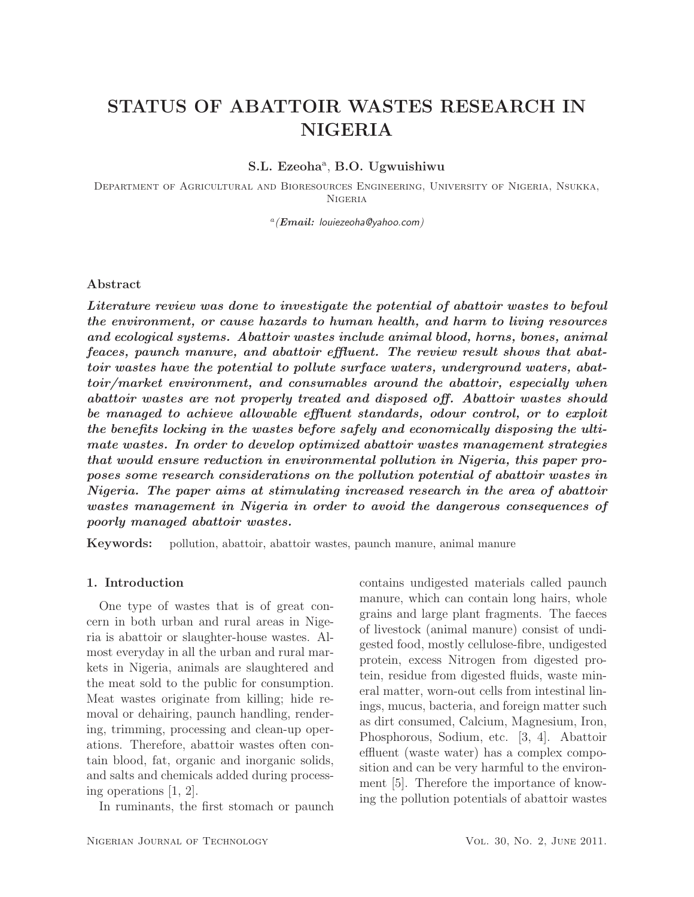# STATUS OF ABATTOIR WASTES RESEARCH IN **NIGERIA**

# S.L. Ezeoha<sup>a</sup>, B.O. Ugwuishiwu

Department of Agricultural and Bioresources Engineering, University of Nigeria, Nsukka, Nigeria

a *(Email:* louiezeoha@yahoo.com*)*

#### Abstract

*Literature review was done to investigate the potential of abattoir wastes to befoul the environment, or cause hazards to human health, and harm to living resources and ecological systems. Abattoir wastes include animal blood, horns, bones, animal feaces, paunch manure, and abattoir effluent. The review result shows that abattoir wastes have the potential to pollute surface waters, underground waters, abattoir/market environment, and consumables around the abattoir, especially when abattoir wastes are not properly treated and disposed off. Abattoir wastes should be managed to achieve allowable effluent standards, odour control, or to exploit the benefits locking in the wastes before safely and economically disposing the ultimate wastes. In order to develop optimized abattoir wastes management strategies that would ensure reduction in environmental pollution in Nigeria, this paper proposes some research considerations on the pollution potential of abattoir wastes in Nigeria. The paper aims at stimulating increased research in the area of abattoir wastes management in Nigeria in order to avoid the dangerous consequences of poorly managed abattoir wastes.*

Keywords: pollution, abattoir, abattoir wastes, paunch manure, animal manure

#### 1. Introduction

One type of wastes that is of great concern in both urban and rural areas in Nigeria is abattoir or slaughter-house wastes. Almost everyday in all the urban and rural markets in Nigeria, animals are slaughtered and the meat sold to the public for consumption. Meat wastes originate from killing; hide removal or dehairing, paunch handling, rendering, trimming, processing and clean-up operations. Therefore, abattoir wastes often contain blood, fat, organic and inorganic solids, and salts and chemicals added during processing operations [1, 2].

In ruminants, the first stomach or paunch

contains undigested materials called paunch manure, which can contain long hairs, whole grains and large plant fragments. The faeces of livestock (animal manure) consist of undigested food, mostly cellulose-fibre, undigested protein, excess Nitrogen from digested protein, residue from digested fluids, waste mineral matter, worn-out cells from intestinal linings, mucus, bacteria, and foreign matter such as dirt consumed, Calcium, Magnesium, Iron, Phosphorous, Sodium, etc. [3, 4]. Abattoir effluent (waste water) has a complex composition and can be very harmful to the environment [5]. Therefore the importance of knowing the pollution potentials of abattoir wastes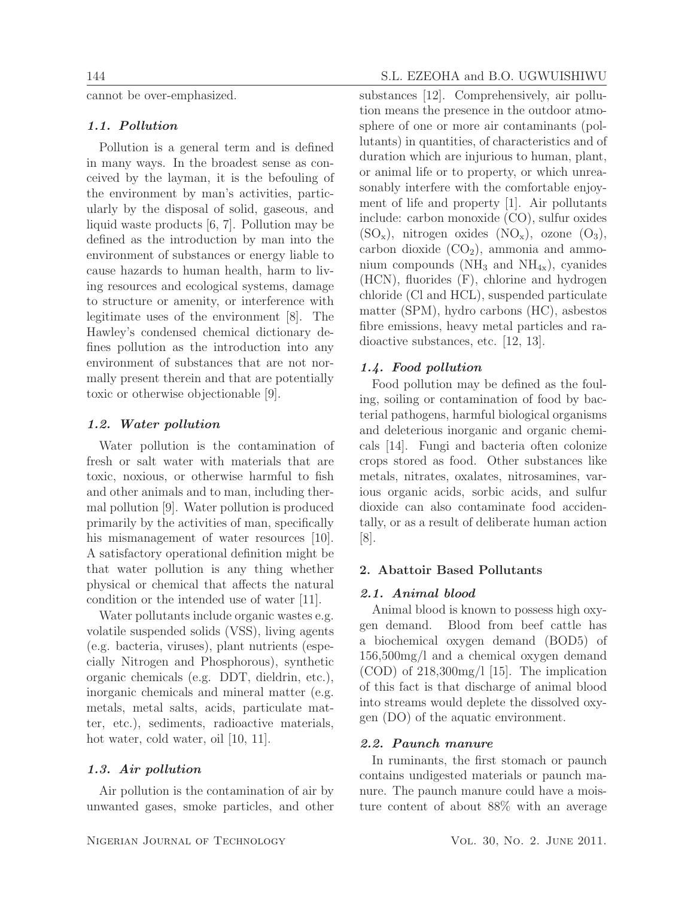cannot be over-emphasized.

# *1.1. Pollution*

Pollution is a general term and is defined in many ways. In the broadest sense as conceived by the layman, it is the befouling of the environment by man's activities, particularly by the disposal of solid, gaseous, and liquid waste products [6, 7]. Pollution may be defined as the introduction by man into the environment of substances or energy liable to cause hazards to human health, harm to living resources and ecological systems, damage to structure or amenity, or interference with legitimate uses of the environment [8]. The Hawley's condensed chemical dictionary defines pollution as the introduction into any environment of substances that are not normally present therein and that are potentially toxic or otherwise objectionable [9].

#### *1.2. Water pollution*

Water pollution is the contamination of fresh or salt water with materials that are toxic, noxious, or otherwise harmful to fish and other animals and to man, including thermal pollution [9]. Water pollution is produced primarily by the activities of man, specifically his mismanagement of water resources [10]. A satisfactory operational definition might be that water pollution is any thing whether physical or chemical that affects the natural condition or the intended use of water [11].

Water pollutants include organic wastes e.g. volatile suspended solids (VSS), living agents (e.g. bacteria, viruses), plant nutrients (especially Nitrogen and Phosphorous), synthetic organic chemicals (e.g. DDT, dieldrin, etc.), inorganic chemicals and mineral matter (e.g. metals, metal salts, acids, particulate matter, etc.), sediments, radioactive materials, hot water, cold water, oil [10, 11].

# *1.3. Air pollution*

Air pollution is the contamination of air by unwanted gases, smoke particles, and other

# 144 S.L. EZEOHA and B.O. UGWUISHIWU

substances [12]. Comprehensively, air pollution means the presence in the outdoor atmosphere of one or more air contaminants (pollutants) in quantities, of characteristics and of duration which are injurious to human, plant, or animal life or to property, or which unreasonably interfere with the comfortable enjoyment of life and property [1]. Air pollutants include: carbon monoxide (CO), sulfur oxides  $(SO_x)$ , nitrogen oxides  $(NO_x)$ , ozone  $(O_3)$ , carbon dioxide  $(CO<sub>2</sub>)$ , ammonia and ammonium compounds ( $NH_3$  and  $NH_{4x}$ ), cyanides (HCN), fluorides (F), chlorine and hydrogen chloride (Cl and HCL), suspended particulate matter (SPM), hydro carbons (HC), asbestos fibre emissions, heavy metal particles and radioactive substances, etc. [12, 13].

# *1.4. Food pollution*

Food pollution may be defined as the fouling, soiling or contamination of food by bacterial pathogens, harmful biological organisms and deleterious inorganic and organic chemicals [14]. Fungi and bacteria often colonize crops stored as food. Other substances like metals, nitrates, oxalates, nitrosamines, various organic acids, sorbic acids, and sulfur dioxide can also contaminate food accidentally, or as a result of deliberate human action [8].

### 2. Abattoir Based Pollutants

#### *2.1. Animal blood*

Animal blood is known to possess high oxygen demand. Blood from beef cattle has a biochemical oxygen demand (BOD5) of 156,500mg/l and a chemical oxygen demand (COD) of 218,300mg/l [15]. The implication of this fact is that discharge of animal blood into streams would deplete the dissolved oxygen (DO) of the aquatic environment.

#### *2.2. Paunch manure*

In ruminants, the first stomach or paunch contains undigested materials or paunch manure. The paunch manure could have a moisture content of about 88% with an average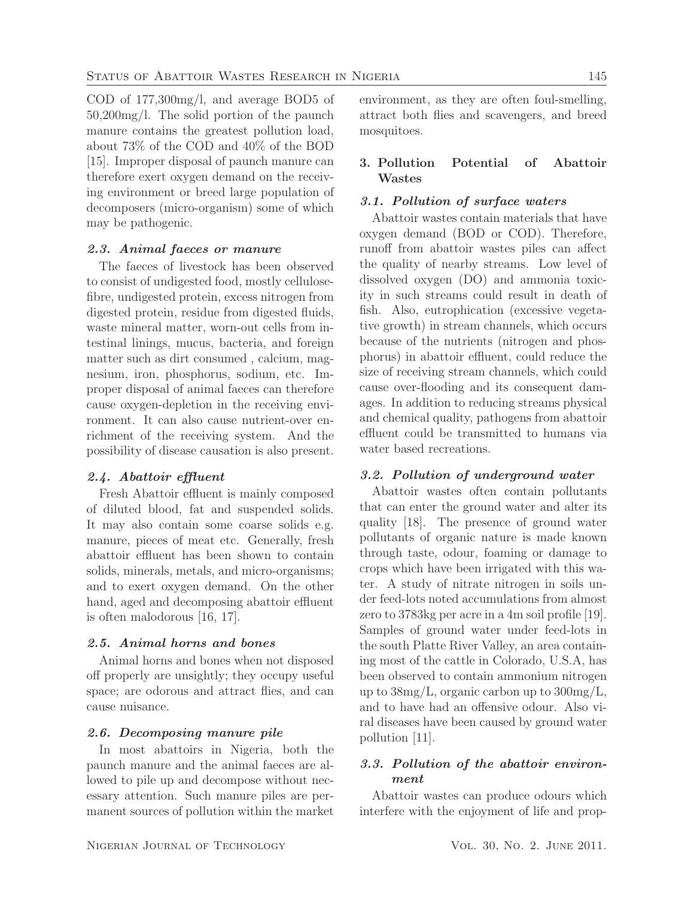COD of 177,300mg/l, and average BOD5 of 50,200mg/l. The solid portion of the paunch manure contains the greatest pollution load, about 73% of the COD and 40% of the BOD [15]. Improper disposal of paunch manure can therefore exert oxygen demand on the receiving environment or breed large population of decomposers (micro-organism) some of which may be pathogenic.

# *2.3. Animal faeces or manure*

The faeces of livestock has been observed to consist of undigested food, mostly cellulosefibre, undigested protein, excess nitrogen from digested protein, residue from digested fluids, waste mineral matter, worn-out cells from intestinal linings, mucus, bacteria, and foreign matter such as dirt consumed , calcium, magnesium, iron, phosphorus, sodium, etc. Improper disposal of animal faeces can therefore cause oxygen-depletion in the receiving environment. It can also cause nutrient-over enrichment of the receiving system. And the possibility of disease causation is also present.

#### *2.4. Abattoir effluent*

Fresh Abattoir effluent is mainly composed of diluted blood, fat and suspended solids. It may also contain some coarse solids e.g. manure, pieces of meat etc. Generally, fresh abattoir effluent has been shown to contain solids, minerals, metals, and micro-organisms; and to exert oxygen demand. On the other hand, aged and decomposing abattoir effluent is often malodorous [16, 17].

### *2.5. Animal horns and bones*

Animal horns and bones when not disposed off properly are unsightly; they occupy useful space; are odorous and attract flies, and can cause nuisance.

#### *2.6. Decomposing manure pile*

In most abattoirs in Nigeria, both the paunch manure and the animal faeces are allowed to pile up and decompose without necessary attention. Such manure piles are permanent sources of pollution within the market

environment, as they are often foul-smelling, attract both flies and scavengers, and breed mosquitoes.

# 3. Pollution Potential of Abattoir Wastes

### *3.1. Pollution of surface waters*

Abattoir wastes contain materials that have oxygen demand (BOD or COD). Therefore, runoff from abattoir wastes piles can affect the quality of nearby streams. Low level of dissolved oxygen (DO) and ammonia toxicity in such streams could result in death of fish. Also, eutrophication (excessive vegetative growth) in stream channels, which occurs because of the nutrients (nitrogen and phosphorus) in abattoir effluent, could reduce the size of receiving stream channels, which could cause over-flooding and its consequent damages. In addition to reducing streams physical and chemical quality, pathogens from abattoir effluent could be transmitted to humans via water based recreations.

### *3.2. Pollution of underground water*

Abattoir wastes often contain pollutants that can enter the ground water and alter its quality [18]. The presence of ground water pollutants of organic nature is made known through taste, odour, foaming or damage to crops which have been irrigated with this water. A study of nitrate nitrogen in soils under feed-lots noted accumulations from almost zero to 3783kg per acre in a 4m soil profile [19]. Samples of ground water under feed-lots in the south Platte River Valley, an area containing most of the cattle in Colorado, U.S.A, has been observed to contain ammonium nitrogen up to 38mg/L, organic carbon up to 300mg/L, and to have had an offensive odour. Also viral diseases have been caused by ground water pollution [11].

# *3.3. Pollution of the abattoir environment*

Abattoir wastes can produce odours which interfere with the enjoyment of life and prop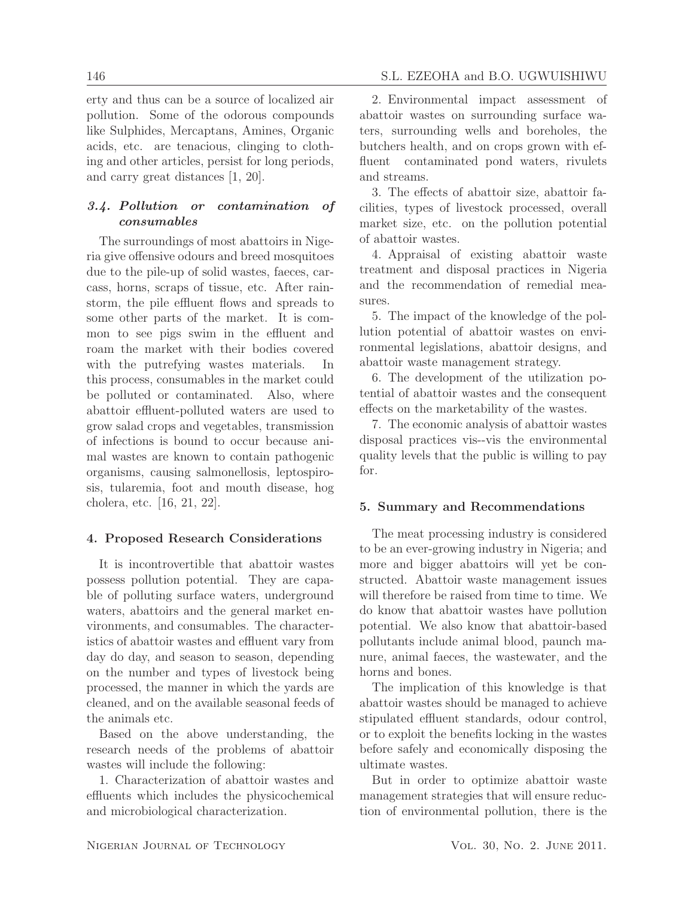erty and thus can be a source of localized air pollution. Some of the odorous compounds like Sulphides, Mercaptans, Amines, Organic acids, etc. are tenacious, clinging to clothing and other articles, persist for long periods, and carry great distances [1, 20].

# *3.4. Pollution or contamination of consumables*

The surroundings of most abattoirs in Nigeria give offensive odours and breed mosquitoes due to the pile-up of solid wastes, faeces, carcass, horns, scraps of tissue, etc. After rainstorm, the pile effluent flows and spreads to some other parts of the market. It is common to see pigs swim in the effluent and roam the market with their bodies covered with the putrefying wastes materials. In this process, consumables in the market could be polluted or contaminated. Also, where abattoir effluent-polluted waters are used to grow salad crops and vegetables, transmission of infections is bound to occur because animal wastes are known to contain pathogenic organisms, causing salmonellosis, leptospirosis, tularemia, foot and mouth disease, hog cholera, etc. [16, 21, 22].

# 4. Proposed Research Considerations

It is incontrovertible that abattoir wastes possess pollution potential. They are capable of polluting surface waters, underground waters, abattoirs and the general market environments, and consumables. The characteristics of abattoir wastes and effluent vary from day do day, and season to season, depending on the number and types of livestock being processed, the manner in which the yards are cleaned, and on the available seasonal feeds of the animals etc.

Based on the above understanding, the research needs of the problems of abattoir wastes will include the following:

1. Characterization of abattoir wastes and effluents which includes the physicochemical and microbiological characterization.

2. Environmental impact assessment of abattoir wastes on surrounding surface waters, surrounding wells and boreholes, the butchers health, and on crops grown with effluent contaminated pond waters, rivulets and streams.

3. The effects of abattoir size, abattoir facilities, types of livestock processed, overall market size, etc. on the pollution potential of abattoir wastes.

4. Appraisal of existing abattoir waste treatment and disposal practices in Nigeria and the recommendation of remedial measures.

5. The impact of the knowledge of the pollution potential of abattoir wastes on environmental legislations, abattoir designs, and abattoir waste management strategy.

6. The development of the utilization potential of abattoir wastes and the consequent effects on the marketability of the wastes.

7. The economic analysis of abattoir wastes disposal practices vis--vis the environmental quality levels that the public is willing to pay for.

# 5. Summary and Recommendations

The meat processing industry is considered to be an ever-growing industry in Nigeria; and more and bigger abattoirs will yet be constructed. Abattoir waste management issues will therefore be raised from time to time. We do know that abattoir wastes have pollution potential. We also know that abattoir-based pollutants include animal blood, paunch manure, animal faeces, the wastewater, and the horns and bones.

The implication of this knowledge is that abattoir wastes should be managed to achieve stipulated effluent standards, odour control, or to exploit the benefits locking in the wastes before safely and economically disposing the ultimate wastes.

But in order to optimize abattoir waste management strategies that will ensure reduction of environmental pollution, there is the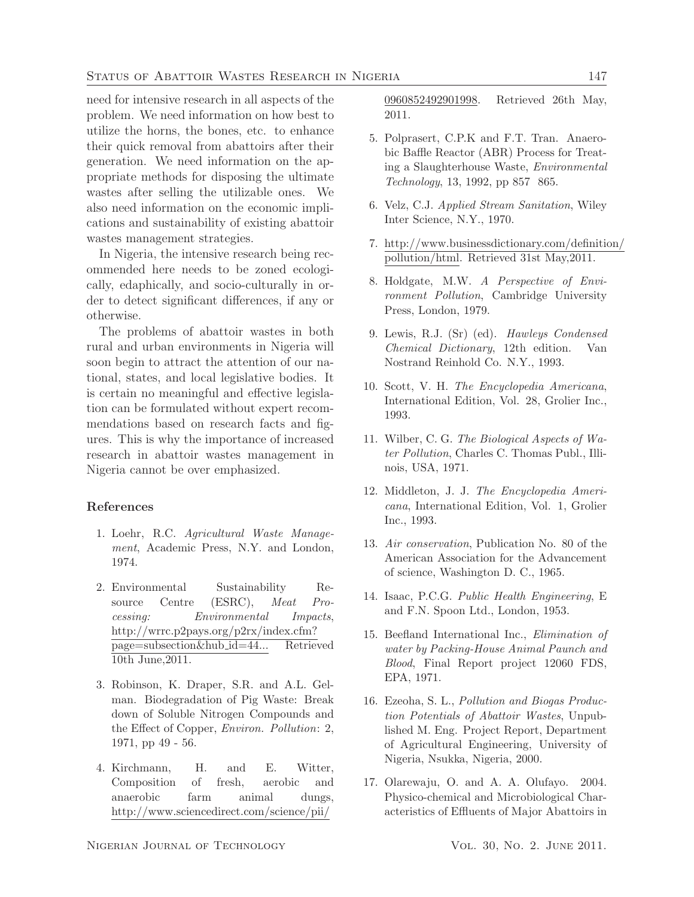need for intensive research in all aspects of the problem. We need information on how best to utilize the horns, the bones, etc. to enhance their quick removal from abattoirs after their generation. We need information on the appropriate methods for disposing the ultimate wastes after selling the utilizable ones. We also need information on the economic implications and sustainability of existing abattoir wastes management strategies.

In Nigeria, the intensive research being recommended here needs to be zoned ecologically, edaphically, and socio-culturally in order to detect significant differences, if any or otherwise.

The problems of abattoir wastes in both rural and urban environments in Nigeria will soon begin to attract the attention of our national, states, and local legislative bodies. It is certain no meaningful and effective legislation can be formulated without expert recommendations based on research facts and figures. This is why the importance of increased research in abattoir wastes management in Nigeria cannot be over emphasized.

# References

- 1. Loehr, R.C. *Agricultural Waste Management*, Academic Press, N.Y. and London, 1974.
- 2. Environmental Sustainability Resource Centre (ESRC), *Meat Processing: Environmental Impacts*, http://wrrc.p2pays.org/p2rx/index.cfm? page=subsection&hub id=44... Retrieved 10th June,2011.
- 3. Robinson, K. Draper, S.R. and A.L. Gelman. Biodegradation of Pig Waste: Break down of Soluble Nitrogen Compounds and the Effect of Copper, *Environ. Pollution*: 2, 1971, pp 49 - 56.
- 4. Kirchmann, H. and E. Witter, Composition of fresh, aerobic and anaerobic farm animal dungs, http://www.sciencedirect.com/science/pii/

0960852492901998. Retrieved 26th May, 2011.

- 5. Polprasert, C.P.K and F.T. Tran. Anaerobic Baffle Reactor (ABR) Process for Treating a Slaughterhouse Waste, *Environmental Technology*, 13, 1992, pp 857 865.
- 6. Velz, C.J. *Applied Stream Sanitation*, Wiley Inter Science, N.Y., 1970.
- 7. http://www.businessdictionary.com/definition/ pollution/html. Retrieved 31st May,2011.
- 8. Holdgate, M.W. *A Perspective of Environment Pollution*, Cambridge University Press, London, 1979.
- 9. Lewis, R.J. (Sr) (ed). *Hawleys Condensed Chemical Dictionary*, 12th edition. Van Nostrand Reinhold Co. N.Y., 1993.
- 10. Scott, V. H. *The Encyclopedia Americana*, International Edition, Vol. 28, Grolier Inc., 1993.
- 11. Wilber, C. G. *The Biological Aspects of Water Pollution*, Charles C. Thomas Publ., Illinois, USA, 1971.
- 12. Middleton, J. J. *The Encyclopedia Americana*, International Edition, Vol. 1, Grolier Inc., 1993.
- 13. *Air conservation*, Publication No. 80 of the American Association for the Advancement of science, Washington D. C., 1965.
- 14. Isaac, P.C.G. *Public Health Engineering*, E and F.N. Spoon Ltd., London, 1953.
- 15. Beefland International Inc., *Elimination of water by Packing-House Animal Paunch and Blood*, Final Report project 12060 FDS, EPA, 1971.
- 16. Ezeoha, S. L., *Pollution and Biogas Production Potentials of Abattoir Wastes*, Unpublished M. Eng. Project Report, Department of Agricultural Engineering, University of Nigeria, Nsukka, Nigeria, 2000.
- 17. Olarewaju, O. and A. A. Olufayo. 2004. Physico-chemical and Microbiological Characteristics of Effluents of Major Abattoirs in